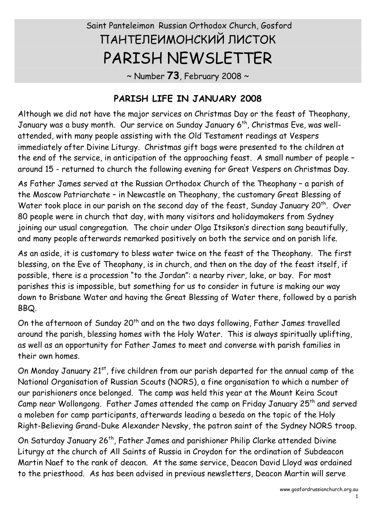# Saint Panteleimon Russian Orthodox Church, Gosford ПАНТЕЛЕИМОНСКИЙ ЛИСТОК PARISH NEWSLETTER

~ Number **73**, February 2008 ~

#### **PARISH LIFE IN JANUARY 2008**

Although we did not have the major services on Christmas Day or the feast of Theophany, January was a busy month. Our service on Sunday January 6<sup>th</sup>, Christmas Eve, was wellattended, with many people assisting with the Old Testament readings at Vespers immediately after Divine Liturgy. Christmas gift bags were presented to the children at the end of the service, in anticipation of the approaching feast. A small number of people – around 15 - returned to church the following evening for Great Vespers on Christmas Day.

As Father James served at the Russian Orthodox Church of the Theophany – a parish of the Moscow Patriarchate – in Newcastle on Theophany, the customary Great Blessing of Water took place in our parish on the second day of the feast, Sunday January 20<sup>th</sup>. Over 80 people were in church that day, with many visitors and holidaymakers from Sydney joining our usual congregation. The choir under Olga Itsikson's direction sang beautifully, and many people afterwards remarked positively on both the service and on parish life.<br>As an aside, it is customary to bless water twice on the feast of the Theophany. The first

blessing, on the Eve of Theophany, is in church, and then on the day of the feast itself, if possible, there is a procession "to the Jordan": a nearby river, lake, or bay. For most parishes this is impossible, but something for us to consider in future is making our way down to Brisbane Water and having the Great Blessing of Water there, followed by a parish

BBQ.<br>On the afternoon of Sunday 20<sup>th</sup> and on the two days following, Father James travelled around the parish, blessing homes with the Holy Water. This is always spiritually uplifting, as well as an opportunity for Father James to meet and converse with parish families in

their own homes.<br>On Monday January 21<sup>st</sup>, five children from our parish departed for the annual camp of the National Organisation of Russian Scouts (NORS), a fine organisation to which a number of our parishioners once belonged. The camp was held this year at the Mount Keira Scout Camp near Wollongong. Father James attended the camp on Friday January 25<sup>th</sup> and served a moleben for camp participants, afterwards leading a beseda on the topic of the Holy Right-Believing Grand-Duke Alexander Nevsky, the patron saint of the Sydney NORS troop.

On Saturday January 26<sup>th</sup>, Father James and parishioner Philip Clarke attended Divine Liturgy at the church of All Saints of Russia in Croydon for the ordination of Subdeacon Martin Naef to the rank of deacon. At the same service, Deacon David Lloyd was ordained to the priesthood. As has been advised in previous newsletters, Deacon Martin will serve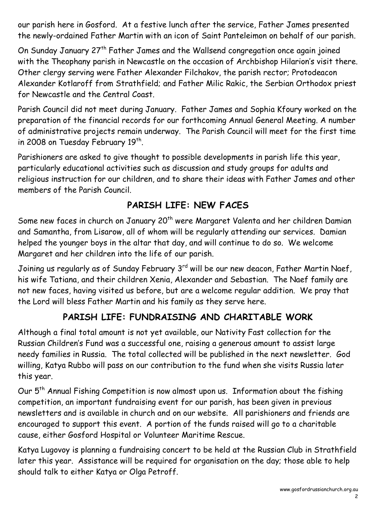our parish here in Gosford. At a festive lunch after the service, Father James presented the newly-ordained Father Martin with an icon of Saint Panteleimon on behalf of our parish.

On Sunday January 27th Father James and the Wallsend congregation once again joined with the Theophany parish in Newcastle on the occasion of Archbishop Hilarion's visit there.<br>Other clergy serving were Father Alexander Filchakov, the parish rector; Protodeacon Alexander Kotlaroff from Strathfield; and Father Milic Rakic, the Serbian Orthodox priest for Newcastle and the Central Coast.

Parish Council did not meet during January. Father James and Sophia Kfoury worked on the preparation of the financial records for our forthcoming Annual General Meeting. A number of administrative projects remain underway. The Parish Council will meet for the first time in 2008 on Tuesday February 19<sup>th</sup>.

Parishioners are asked to give thought to possible developments in parish life this year, particularly educational activities such as discussion and study groups for adults and religious instruction for our children, and to share their ideas with Father James and other members of the Parish Council.

## **PARISH LIFE: NEW FACES**

Some new faces in church on January 20<sup>th</sup> were Margaret Valenta and her children Damian and Samantha, from Lisarow, all of whom will be regularly attending our services. Damian helped the younger boys in the altar that day, and will continue to do so. We welcome Margaret and her children into the life of our parish.

Joining us regularly as of Sunday February 3<sup>rd</sup> will be our new deacon, Father Martin Naef, his wife Tatiana, and their children Xenia, Alexander and Sebastian. The Naef family are not new faces, having visited us before, but are a welcome regular addition. We pray that the Lord will bless Father Martin and his family as they serve here.

## **PARISH LIFE: FUNDRAISING AND CHARITABLE WORK**

Although a final total amount is not yet available, our Nativity Fast collection for the Russian Children's Fund was a successful one, raising a generous amount to assist large needy families in Russia. The total collected will be published in the next newsletter. God willing, Katya Rubbo will pass on our contribution to the fund when she visits Russia later this year.

Our  $5<sup>th</sup>$  Annual Fishing Competition is now almost upon us. Information about the fishing competition, an important fundraising event for our parish, has been given in previous newsletters and is available in church and on our website. All parishioners and friends are encouraged to support this event. A portion of the funds raised will go to a charitable cause, either Gosford Hospital or Volunteer Maritime Rescue.

Katya Lugovoy is planning a fundraising concert to be held at the Russian Club in Strathfield later this year. Assistance will be required for organisation on the day; those able to help should talk to either Katya or Olga Petroff.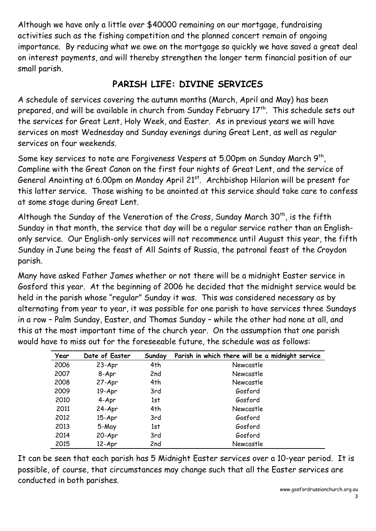Although we have only a little over \$40000 remaining on our mortgage, fundraising activities such as the fishing competition and the planned concert remain of ongoing importance. By reducing what we owe on the mortgage so quickly we have saved a great deal on interest payments, and will thereby strengthen the longer term financial position of our small parish.

#### **PARISH LIFE: DIVINE SERVICES**

A schedule of services covering the autumn months (March, April and May) has been prepared, and will be available in church from Sunday February 17<sup>th</sup>. This schedule sets out the services for Great Lent, Holy Week, and Easter. As in previous years we will have services on most Wednesday and Sunday evenings during Great Lent, as well as regular services on four weekends.

Some key services to note are Forgiveness Vespers at 5.00pm on Sunday March 9<sup>th</sup>, Compline with the Great Canon on the first four nights of Great Lent, and the service of General Anointing at 6.00pm on Monday April 21<sup>st</sup>. Archbishop Hilarion will be present for this latter service. Those wishing to be anointed at this service should take care to confess

at some stage during Great Lent.<br>Although the Sunday of the Veneration of the Cross, Sunday March 30<sup>th</sup>, is the fifth Sunday in that month, the service that day will be a regular service rather than an Englishonly service. Our English-only services will not recommence until August this year, the fifth Sunday in June being the feast of All Saints of Russia, the patronal feast of the Croydon parish.

Many have asked Father James whether or not there will be a midnight Easter service in Gosford this year. At the beginning of 2006 he decided that the midnight service would be held in the parish whose "regular" Sunday it was. This was considered necessary as by alternating from year to year, it was possible for one parish to have services three Sundays in a row – Palm Sunday, Easter, and Thomas Sunday – while the other had none at all, and this at the most important time of the church year. On the assumption that one parish would have to miss out for the foreseeable future, the schedule was as follows:

| Year | Date of Easter | Sunday | Parish in which there will be a midnight service |
|------|----------------|--------|--------------------------------------------------|
| 2006 | $23-Apr$       | 4th    | Newcastle                                        |
| 2007 | 8-Apr          | 2nd    | Newcastle                                        |
| 2008 | 27-Apr         | 4th    | Newcastle                                        |
| 2009 | $19-Apr$       | 3rd    | Gosford                                          |
| 2010 | 4-Apr          | 1st    | Gosford                                          |
| 2011 | 24-Apr         | 4th    | Newcastle                                        |
| 2012 | $15-Apr$       | 3rd    | Gosford                                          |
| 2013 | 5-May          | 1st    | Gosford                                          |
| 2014 | 20-Apr         | 3rd    | Gosford                                          |
| 2015 | $12-Apr$       | 2nd    | Newcastle                                        |

It can be seen that each parish has 5 Midnight Easter services over a 10-year period. It is possible, of course, that circumstances may change such that all the Easter services are conducted in both parishes.